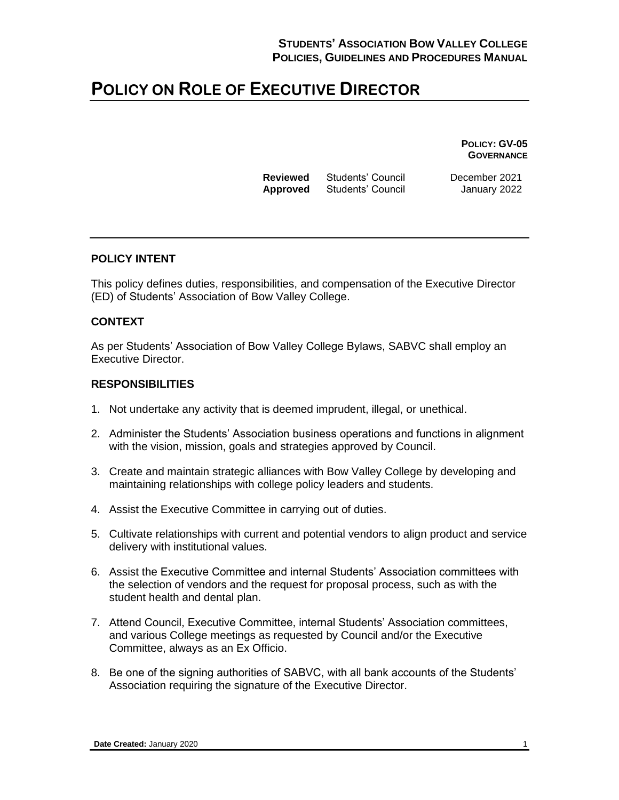**POLICY: GV-05 GOVERNANCE**

| <b>Reviewed</b> | Students' Council |
|-----------------|-------------------|
| <b>Approved</b> | Students' Council |

**December 2021 January 2022** 

#### **POLICY INTENT**

This policy defines duties, responsibilities, and compensation of the Executive Director (ED) of Students' Association of Bow Valley College.

#### **CONTEXT**

As per Students' Association of Bow Valley College Bylaws, SABVC shall employ an Executive Director.

#### **RESPONSIBILITIES**

- 1. Not undertake any activity that is deemed imprudent, illegal, or unethical.
- 2. Administer the Students' Association business operations and functions in alignment with the vision, mission, goals and strategies approved by Council.
- 3. Create and maintain strategic alliances with Bow Valley College by developing and maintaining relationships with college policy leaders and students.
- 4. Assist the Executive Committee in carrying out of duties.
- 5. Cultivate relationships with current and potential vendors to align product and service delivery with institutional values.
- 6. Assist the Executive Committee and internal Students' Association committees with the selection of vendors and the request for proposal process, such as with the student health and dental plan.
- 7. Attend Council, Executive Committee, internal Students' Association committees, and various College meetings as requested by Council and/or the Executive Committee, always as an Ex Officio.
- 8. Be one of the signing authorities of SABVC, with all bank accounts of the Students' Association requiring the signature of the Executive Director.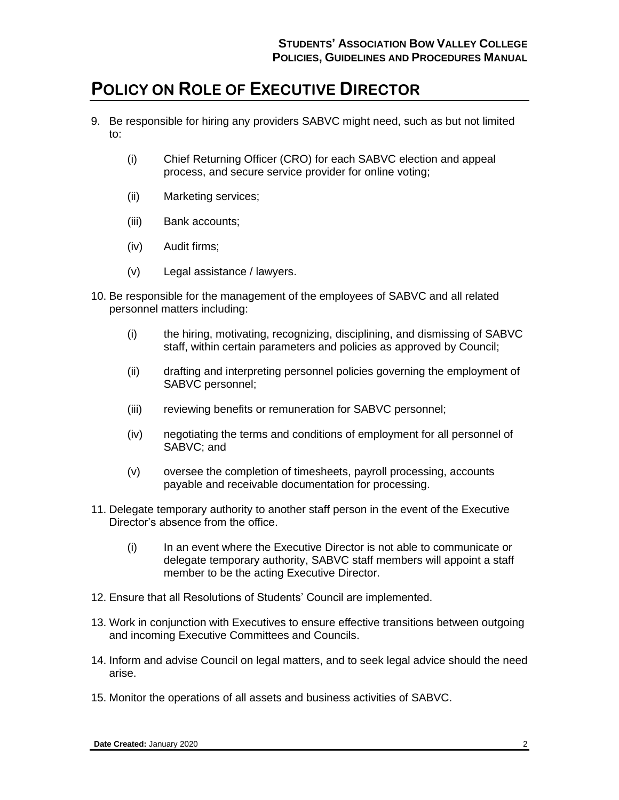- 9. Be responsible for hiring any providers SABVC might need, such as but not limited to:
	- (i) Chief Returning Officer (CRO) for each SABVC election and appeal process, and secure service provider for online voting;
	- (ii) Marketing services;
	- (iii) Bank accounts;
	- (iv) Audit firms;
	- (v) Legal assistance / lawyers.
- 10. Be responsible for the management of the employees of SABVC and all related personnel matters including:
	- (i) the hiring, motivating, recognizing, disciplining, and dismissing of SABVC staff, within certain parameters and policies as approved by Council;
	- (ii) drafting and interpreting personnel policies governing the employment of SABVC personnel;
	- (iii) reviewing benefits or remuneration for SABVC personnel;
	- (iv) negotiating the terms and conditions of employment for all personnel of SABVC; and
	- (v) oversee the completion of timesheets, payroll processing, accounts payable and receivable documentation for processing.
- 11. Delegate temporary authority to another staff person in the event of the Executive Director's absence from the office.
	- (i) In an event where the Executive Director is not able to communicate or delegate temporary authority, SABVC staff members will appoint a staff member to be the acting Executive Director.
- 12. Ensure that all Resolutions of Students' Council are implemented.
- 13. Work in conjunction with Executives to ensure effective transitions between outgoing and incoming Executive Committees and Councils.
- 14. Inform and advise Council on legal matters, and to seek legal advice should the need arise.
- 15. Monitor the operations of all assets and business activities of SABVC.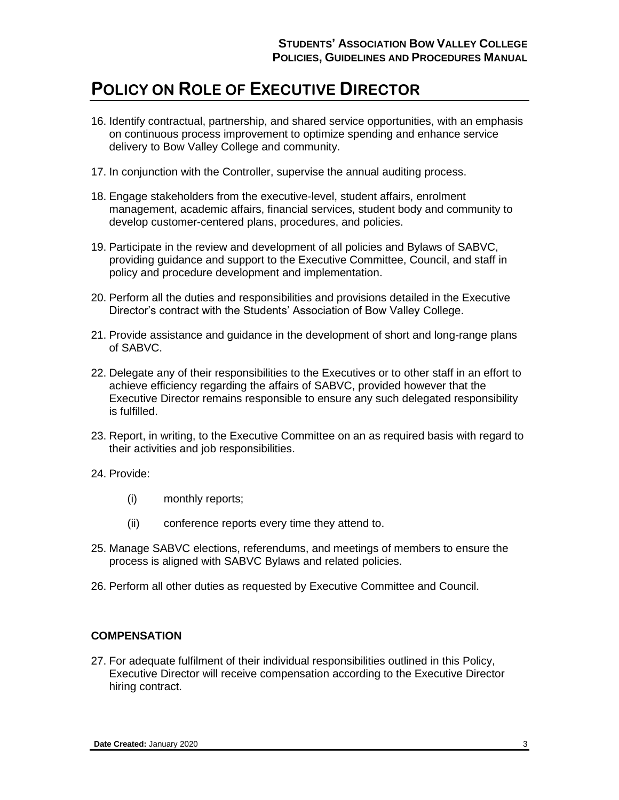- 16. Identify contractual, partnership, and shared service opportunities, with an emphasis on continuous process improvement to optimize spending and enhance service delivery to Bow Valley College and community.
- 17. In conjunction with the Controller, supervise the annual auditing process.
- 18. Engage stakeholders from the executive-level, student affairs, enrolment management, academic affairs, financial services, student body and community to develop customer-centered plans, procedures, and policies.
- 19. Participate in the review and development of all policies and Bylaws of SABVC, providing guidance and support to the Executive Committee, Council, and staff in policy and procedure development and implementation.
- 20. Perform all the duties and responsibilities and provisions detailed in the Executive Director's contract with the Students' Association of Bow Valley College.
- 21. Provide assistance and guidance in the development of short and long-range plans of SABVC.
- 22. Delegate any of their responsibilities to the Executives or to other staff in an effort to achieve efficiency regarding the affairs of SABVC, provided however that the Executive Director remains responsible to ensure any such delegated responsibility is fulfilled.
- 23. Report, in writing, to the Executive Committee on an as required basis with regard to their activities and job responsibilities.
- 24. Provide:
	- (i) monthly reports;
	- (ii) conference reports every time they attend to.
- 25. Manage SABVC elections, referendums, and meetings of members to ensure the process is aligned with SABVC Bylaws and related policies.
- 26. Perform all other duties as requested by Executive Committee and Council.

#### **COMPENSATION**

27. For adequate fulfilment of their individual responsibilities outlined in this Policy, Executive Director will receive compensation according to the Executive Director hiring contract.